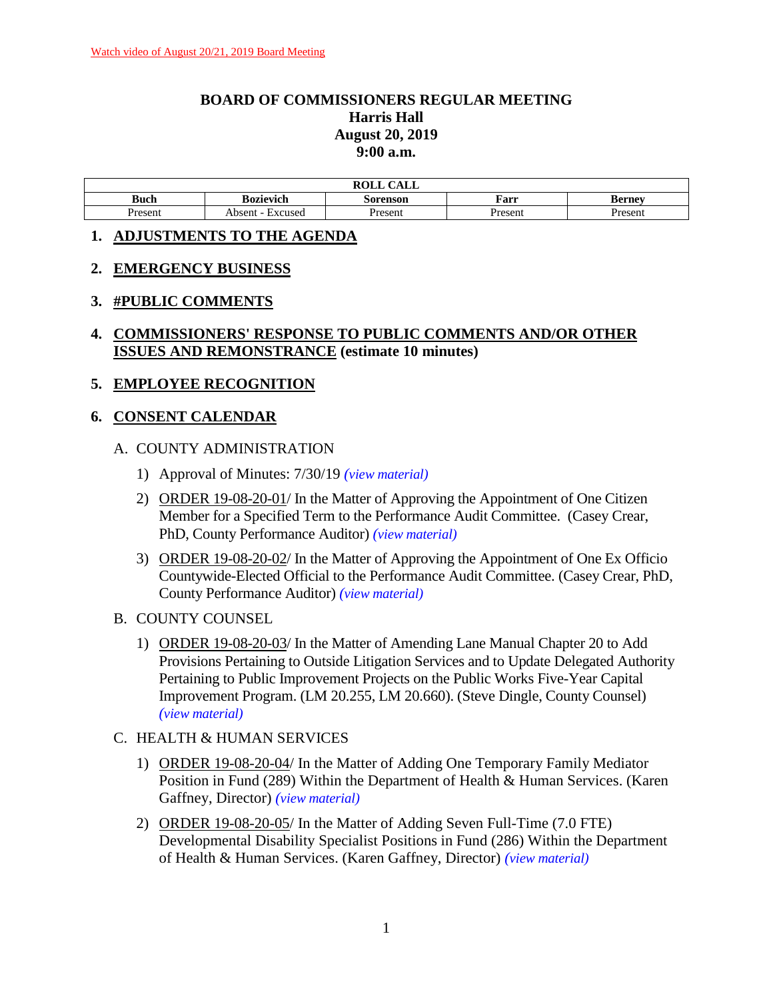# **BOARD OF COMMISSIONERS REGULAR MEETING Harris Hall August 20, 2019 9:00 a.m.**

|             |                   | $\sim$ $\sim$ $\sim$ $\sim$<br>ROLL<br>AUL |         |               |
|-------------|-------------------|--------------------------------------------|---------|---------------|
| <b>Buch</b> | Bozievich         | Sorenson                                   | Farr    | <b>Berney</b> |
| Present     | Absent<br>Excused | Present                                    | Present | Present       |

### **1. ADJUSTMENTS TO THE AGENDA**

### **2. EMERGENCY BUSINESS**

### **3. #PUBLIC COMMENTS**

**4. COMMISSIONERS' RESPONSE TO PUBLIC COMMENTS AND/OR OTHER ISSUES AND REMONSTRANCE (estimate 10 minutes)**

### **5. EMPLOYEE RECOGNITION**

# **6. CONSENT CALENDAR**

### A. COUNTY ADMINISTRATION

- 1) Approval of Minutes: 7/30/19 *(view [material\)](http://www.lanecounty.org/UserFiles/Servers/Server_3585797/File/Government/BCC/2019/2019_AGENDAS/082019agenda/T.6.A.1.pdf)*
- 2) ORDER 19-08-20-01/ In the Matter of Approving the Appointment of One Citizen Member for a Specified Term to the Performance Audit Committee. (Casey Crear, PhD, County Performance Auditor) *(view [material\)](http://www.lanecounty.org/UserFiles/Servers/Server_3585797/File/Government/BCC/2019/2019_AGENDAS/082019agenda/T.6.A.2.pdf)*
- 3) ORDER 19-08-20-02/ In the Matter of Approving the Appointment of One Ex Officio Countywide-Elected Official to the Performance Audit Committee. (Casey Crear, PhD, County Performance Auditor) *(view [material\)](http://www.lanecounty.org/UserFiles/Servers/Server_3585797/File/Government/BCC/2019/2019_AGENDAS/082019agenda/T.6.A.3.pdf)*
- B. COUNTY COUNSEL
	- 1) ORDER 19-08-20-03/ In the Matter of Amending Lane Manual Chapter 20 to Add Provisions Pertaining to Outside Litigation Services and to Update Delegated Authority Pertaining to Public Improvement Projects on the Public Works Five-Year Capital Improvement Program. (LM 20.255, LM 20.660). (Steve Dingle, County Counsel) *(view [material\)](http://www.lanecounty.org/UserFiles/Servers/Server_3585797/File/Government/BCC/2019/2019_AGENDAS/082019agenda/T.6.B.1.pdf)*

### C. HEALTH & HUMAN SERVICES

- 1) ORDER 19-08-20-04/ In the Matter of Adding One Temporary Family Mediator Position in Fund (289) Within the Department of Health & Human Services. (Karen Gaffney, Director) *(view [material\)](http://www.lanecounty.org/UserFiles/Servers/Server_3585797/File/Government/BCC/2019/2019_AGENDAS/082019agenda/T.6.C.1.pdf)*
- 2) ORDER 19-08-20-05/ In the Matter of Adding Seven Full-Time (7.0 FTE) Developmental Disability Specialist Positions in Fund (286) Within the Department of Health & Human Services. (Karen Gaffney, Director) *(view [material\)](http://www.lanecounty.org/UserFiles/Servers/Server_3585797/File/Government/BCC/2019/2019_AGENDAS/082019agenda/T.6.C.2.pdf)*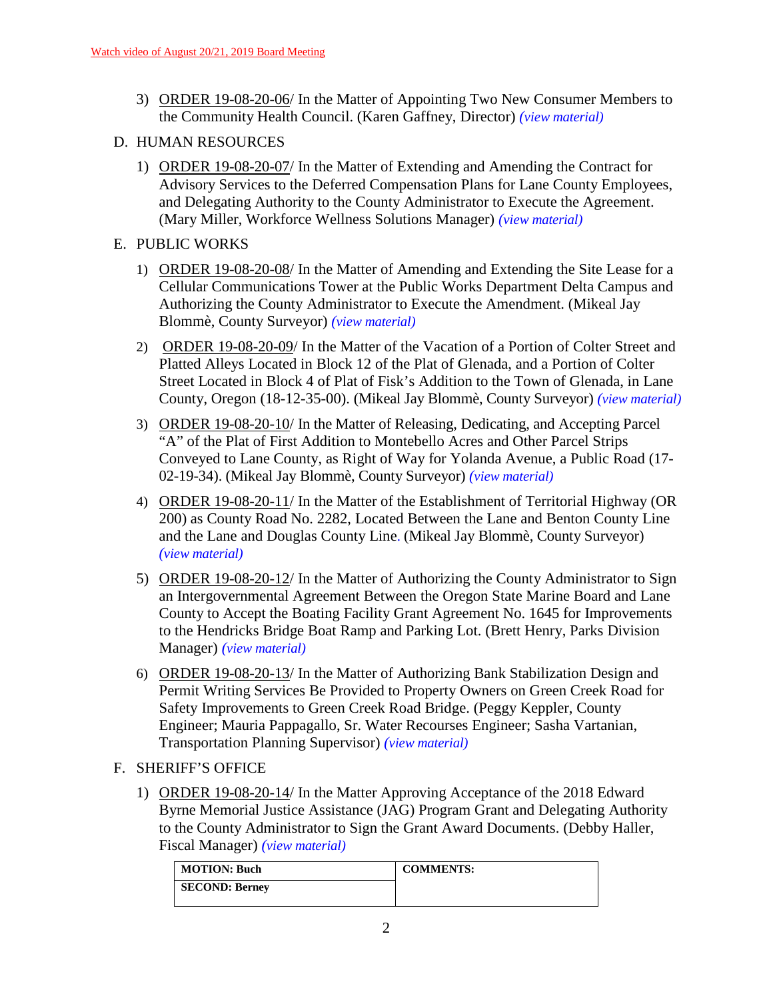- 3) ORDER 19-08-20-06/ In the Matter of Appointing Two New Consumer Members to the Community Health Council. (Karen Gaffney, Director) *(view [material\)](http://www.lanecounty.org/UserFiles/Servers/Server_3585797/File/Government/BCC/2019/2019_AGENDAS/082019agenda/T.6.C.3.pdf)*
- D. HUMAN RESOURCES
	- 1) ORDER 19-08-20-07/ In the Matter of Extending and Amending the Contract for Advisory Services to the Deferred Compensation Plans for Lane County Employees, and Delegating Authority to the County Administrator to Execute the Agreement. (Mary Miller, Workforce Wellness Solutions Manager) *(view [material\)](http://www.lanecounty.org/UserFiles/Servers/Server_3585797/File/Government/BCC/2019/2019_AGENDAS/082019agenda/T.6.D.1.pdf)*
- E. PUBLIC WORKS
	- 1) ORDER 19-08-20-08/ In the Matter of Amending and Extending the Site Lease for a Cellular Communications Tower at the Public Works Department Delta Campus and Authorizing the County Administrator to Execute the Amendment. (Mikeal Jay Blommè, County Surveyor) *(view [material\)](http://www.lanecounty.org/UserFiles/Servers/Server_3585797/File/Government/BCC/2019/2019_AGENDAS/082019agenda/T.6.E.1.pdf)*
	- 2) ORDER 19-08-20-09/ In the Matter of the Vacation of a Portion of Colter Street and Platted Alleys Located in Block 12 of the Plat of Glenada, and a Portion of Colter Street Located in Block 4 of Plat of Fisk's Addition to the Town of Glenada, in Lane County, Oregon (18-12-35-00). (Mikeal Jay Blommè, County Surveyor) *(view [material\)](http://www.lanecounty.org/UserFiles/Servers/Server_3585797/File/Government/BCC/2019/2019_AGENDAS/082019agenda/T.6.E.2.pdf)*
	- 3) ORDER 19-08-20-10/ In the Matter of Releasing, Dedicating, and Accepting Parcel "A" of the Plat of First Addition to Montebello Acres and Other Parcel Strips Conveyed to Lane County, as Right of Way for Yolanda Avenue, a Public Road (17- 02-19-34). (Mikeal Jay Blommè, County Surveyor) *(view [material\)](http://www.lanecounty.org/UserFiles/Servers/Server_3585797/File/Government/BCC/2019/2019_AGENDAS/082019agenda/T.6.E.3.pdf)*
	- 4) ORDER 19-08-20-11/ In the Matter of the Establishment of Territorial Highway (OR 200) as County Road No. 2282, Located Between the Lane and Benton County Line and the Lane and Douglas County Line. (Mikeal Jay Blommè, County Surveyor) *(view [material\)](http://www.lanecounty.org/UserFiles/Servers/Server_3585797/File/Government/BCC/2019/2019_AGENDAS/082019agenda/T.6.E.4.pdf)*
	- 5) ORDER 19-08-20-12/ In the Matter of Authorizing the County Administrator to Sign an Intergovernmental Agreement Between the Oregon State Marine Board and Lane County to Accept the Boating Facility Grant Agreement No. 1645 for Improvements to the Hendricks Bridge Boat Ramp and Parking Lot. (Brett Henry, Parks Division Manager) *(view [material\)](http://www.lanecounty.org/UserFiles/Servers/Server_3585797/File/Government/BCC/2019/2019_AGENDAS/082019agenda/T.6.E.5.pdf)*
	- 6) ORDER 19-08-20-13/ In the Matter of Authorizing Bank Stabilization Design and Permit Writing Services Be Provided to Property Owners on Green Creek Road for Safety Improvements to Green Creek Road Bridge. (Peggy Keppler, County Engineer; Mauria Pappagallo, Sr. Water Recourses Engineer; Sasha Vartanian, Transportation Planning Supervisor) *(view [material\)](http://www.lanecounty.org/UserFiles/Servers/Server_3585797/File/Government/BCC/2019/2019_AGENDAS/082019agenda/T.6.E.6.pdf)*
- F. SHERIFF'S OFFICE
	- 1) ORDER 19-08-20-14/ In the Matter Approving Acceptance of the 2018 Edward Byrne Memorial Justice Assistance (JAG) Program Grant and Delegating Authority to the County Administrator to Sign the Grant Award Documents. (Debby Haller, Fiscal Manager) *(view [material\)](http://www.lanecounty.org/UserFiles/Servers/Server_3585797/File/Government/BCC/2019/2019_AGENDAS/082019agenda/T.6.F.1.pdf)*

| <b>MOTION: Buch</b>   | <b>COMMENTS:</b> |
|-----------------------|------------------|
| <b>SECOND: Berney</b> |                  |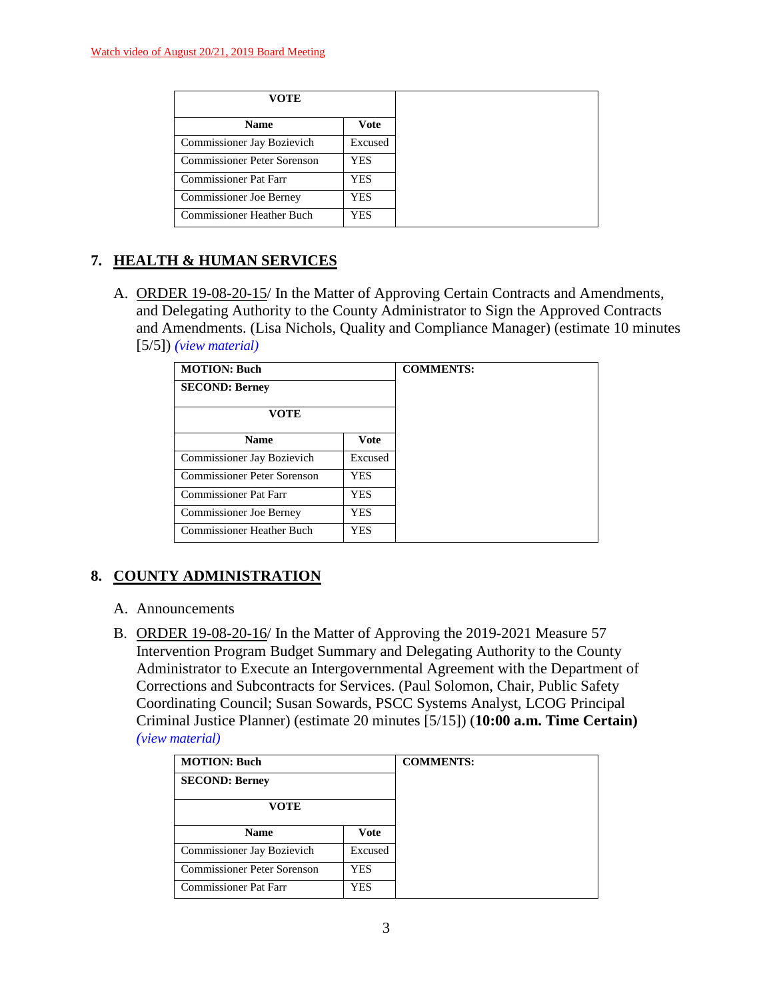| VOTE                               |            |
|------------------------------------|------------|
| <b>Name</b>                        | Vote       |
| Commissioner Jay Bozievich         | Excused    |
| <b>Commissioner Peter Sorenson</b> | <b>YES</b> |
| Commissioner Pat Farr              | <b>YES</b> |
| Commissioner Joe Berney            | YES        |
| <b>Commissioner Heather Buch</b>   | <b>YES</b> |

# **7. HEALTH & HUMAN SERVICES**

A. ORDER 19-08-20-15/ In the Matter of Approving Certain Contracts and Amendments, and Delegating Authority to the County Administrator to Sign the Approved Contracts and Amendments. (Lisa Nichols, Quality and Compliance Manager) (estimate 10 minutes [5/5]) *(view [material\)](http://www.lanecounty.org/UserFiles/Servers/Server_3585797/File/Government/BCC/2019/2019_AGENDAS/082019agenda/T.7.A.pdf)*

| <b>MOTION: Buch</b>              |             | <b>COMMENTS:</b> |
|----------------------------------|-------------|------------------|
| <b>SECOND: Berney</b>            |             |                  |
| <b>VOTE</b>                      |             |                  |
| <b>Name</b>                      | <b>Vote</b> |                  |
| Commissioner Jay Bozievich       | Excused     |                  |
| Commissioner Peter Sorenson      | <b>YES</b>  |                  |
| Commissioner Pat Farr            | <b>YES</b>  |                  |
| <b>Commissioner Joe Berney</b>   | <b>YES</b>  |                  |
| <b>Commissioner Heather Buch</b> | <b>YES</b>  |                  |

# **8. COUNTY ADMINISTRATION**

- A. Announcements
- B. ORDER 19-08-20-16/ In the Matter of Approving the 2019-2021 Measure 57 Intervention Program Budget Summary and Delegating Authority to the County Administrator to Execute an Intergovernmental Agreement with the Department of Corrections and Subcontracts for Services. (Paul Solomon, Chair, Public Safety Coordinating Council; Susan Sowards, PSCC Systems Analyst, LCOG Principal Criminal Justice Planner) (estimate 20 minutes [5/15]) (**10:00 a.m. Time Certain)**  *(view [material\)](http://www.lanecounty.org/UserFiles/Servers/Server_3585797/File/Government/BCC/2019/2019_AGENDAS/082019agenda/T.8.A.pdf)*

| <b>MOTION: Buch</b>          |         | <b>COMMENTS:</b> |
|------------------------------|---------|------------------|
| <b>SECOND: Berney</b>        |         |                  |
| VOTE                         |         |                  |
| <b>Name</b>                  | Vote    |                  |
| Commissioner Jay Bozievich   | Excused |                  |
| Commissioner Peter Sorenson  | YES     |                  |
| <b>Commissioner Pat Farr</b> | YES     |                  |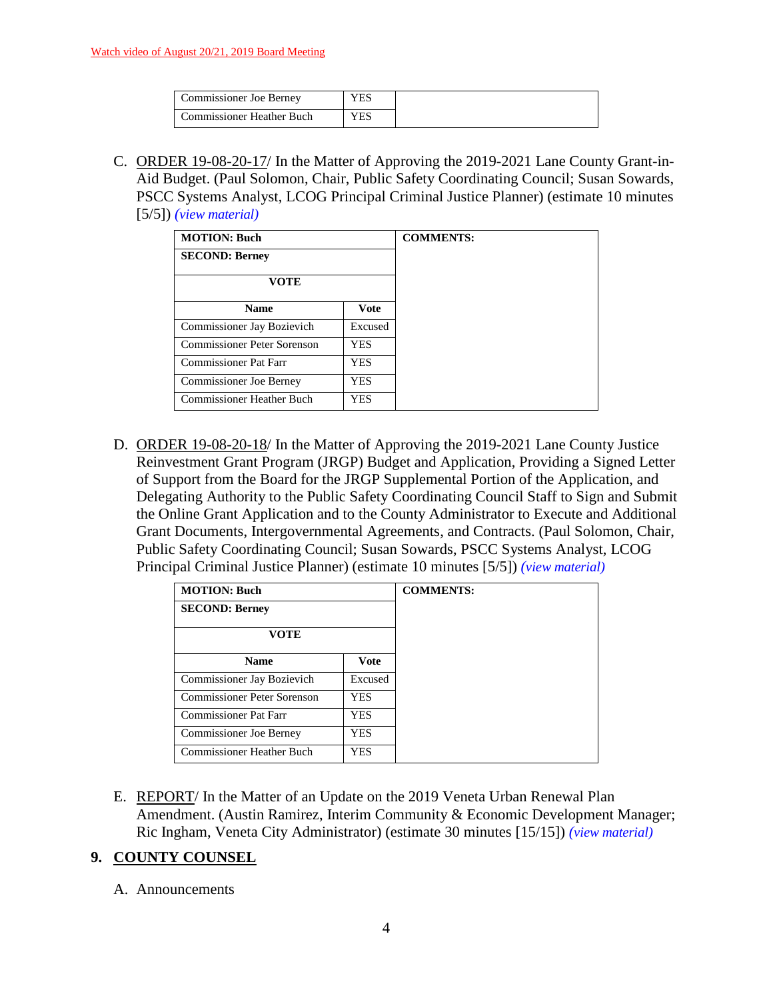| Commissioner Joe Berney   |  |
|---------------------------|--|
| Commissioner Heather Buch |  |

C. ORDER 19-08-20-17/ In the Matter of Approving the 2019-2021 Lane County Grant-in-Aid Budget. (Paul Solomon, Chair, Public Safety Coordinating Council; Susan Sowards, PSCC Systems Analyst, LCOG Principal Criminal Justice Planner) (estimate 10 minutes [5/5]) *(view [material\)](http://www.lanecounty.org/UserFiles/Servers/Server_3585797/File/Government/BCC/2019/2019_AGENDAS/082019agenda/T.8.C.pdf)*

| <b>MOTION: Buch</b>            |             | <b>COMMENTS:</b> |
|--------------------------------|-------------|------------------|
| <b>SECOND: Berney</b>          |             |                  |
| VOTE                           |             |                  |
| <b>Name</b>                    | <b>Vote</b> |                  |
| Commissioner Jay Bozievich     | Excused     |                  |
| Commissioner Peter Sorenson    | <b>YES</b>  |                  |
| <b>Commissioner Pat Farr</b>   | <b>YES</b>  |                  |
| <b>Commissioner Joe Berney</b> | <b>YES</b>  |                  |
| Commissioner Heather Buch      | YES         |                  |

D. ORDER 19-08-20-18/ In the Matter of Approving the 2019-2021 Lane County Justice Reinvestment Grant Program (JRGP) Budget and Application, Providing a Signed Letter of Support from the Board for the JRGP Supplemental Portion of the Application, and Delegating Authority to the Public Safety Coordinating Council Staff to Sign and Submit the Online Grant Application and to the County Administrator to Execute and Additional Grant Documents, Intergovernmental Agreements, and Contracts. (Paul Solomon, Chair, Public Safety Coordinating Council; Susan Sowards, PSCC Systems Analyst, LCOG Principal Criminal Justice Planner) (estimate 10 minutes [5/5]) *(view [material\)](http://www.lanecounty.org/UserFiles/Servers/Server_3585797/File/Government/BCC/2019/2019_AGENDAS/082019agenda/T.8.D.pdf)*

| <b>MOTION: Buch</b>          |             | <b>COMMENTS:</b> |
|------------------------------|-------------|------------------|
| <b>SECOND: Berney</b>        |             |                  |
| <b>VOTE</b>                  |             |                  |
| <b>Name</b>                  | <b>Vote</b> |                  |
| Commissioner Jay Bozievich   | Excused     |                  |
| Commissioner Peter Sorenson  | <b>YES</b>  |                  |
| <b>Commissioner Pat Farr</b> | <b>YES</b>  |                  |
| Commissioner Joe Berney      | YES         |                  |
| Commissioner Heather Buch    | <b>YES</b>  |                  |

E. REPORT/ In the Matter of an Update on the 2019 Veneta Urban Renewal Plan Amendment. (Austin Ramirez, Interim Community & Economic Development Manager; Ric Ingham, Veneta City Administrator) (estimate 30 minutes [15/15]) *(view [material\)](http://www.lanecounty.org/UserFiles/Servers/Server_3585797/File/Government/BCC/2019/2019_AGENDAS/082019agenda/T.8.E.pdf)*

# **9. COUNTY COUNSEL**

A. Announcements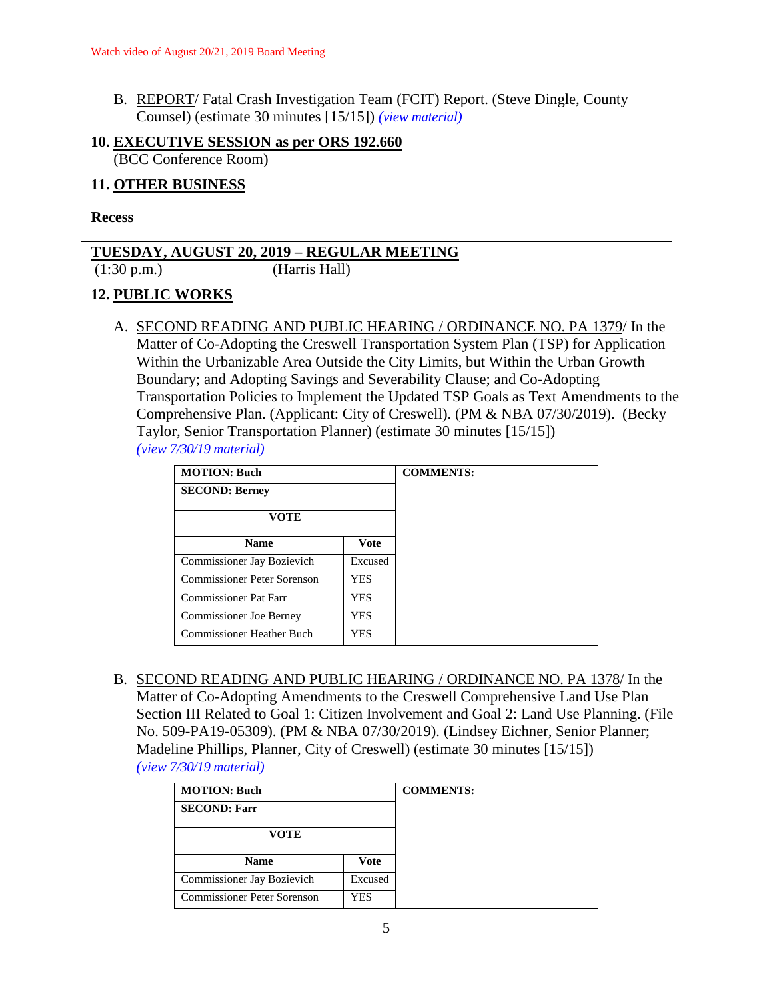B. REPORT/ Fatal Crash Investigation Team (FCIT) Report. (Steve Dingle, County Counsel) (estimate 30 minutes [15/15]) *(view [material\)](http://www.lanecounty.org/UserFiles/Servers/Server_3585797/File/Government/BCC/2019/2019_AGENDAS/082019agenda/T.9.B.pdf)*

### **10. EXECUTIVE SESSION as per ORS 192.660** (BCC Conference Room)

### **11. OTHER BUSINESS**

#### **Recess**

### **TUESDAY, AUGUST 20, 2019 – REGULAR MEETING**

(1:30 p.m.) (Harris Hall)

# **12. PUBLIC WORKS**

A. SECOND READING AND PUBLIC HEARING / ORDINANCE NO. PA 1379/ In the Matter of Co-Adopting the Creswell Transportation System Plan (TSP) for Application Within the Urbanizable Area Outside the City Limits, but Within the Urban Growth Boundary; and Adopting Savings and Severability Clause; and Co-Adopting Transportation Policies to Implement the Updated TSP Goals as Text Amendments to the Comprehensive Plan. (Applicant: City of Creswell). (PM & NBA 07/30/2019). (Becky Taylor, Senior Transportation Planner) (estimate 30 minutes [15/15]) *(view [7/30/19 material\)](http://www.lanecounty.org/UserFiles/Servers/Server_3585797/File/Government/BCC/2019/2019_AGENDAS/073019agenda/T.11.A.pdf)*

| <b>MOTION: Buch</b>          |             | <b>COMMENTS:</b> |
|------------------------------|-------------|------------------|
| <b>SECOND: Berney</b>        |             |                  |
| <b>VOTE</b>                  |             |                  |
| <b>Name</b>                  | <b>Vote</b> |                  |
| Commissioner Jay Bozievich   | Excused     |                  |
| Commissioner Peter Sorenson  | <b>YES</b>  |                  |
| <b>Commissioner Pat Farr</b> | <b>YES</b>  |                  |
| Commissioner Joe Berney      | <b>YES</b>  |                  |
| Commissioner Heather Buch    | <b>YES</b>  |                  |

B. SECOND READING AND PUBLIC HEARING / ORDINANCE NO. PA 1378/ In the Matter of Co-Adopting Amendments to the Creswell Comprehensive Land Use Plan Section III Related to Goal 1: Citizen Involvement and Goal 2: Land Use Planning. (File No. 509-PA19-05309). (PM & NBA 07/30/2019). (Lindsey Eichner, Senior Planner; Madeline Phillips, Planner, City of Creswell) (estimate 30 minutes [15/15]) *(view [7/30/19 material\)](http://www.lanecounty.org/UserFiles/Servers/Server_3585797/File/Government/BCC/2019/2019_AGENDAS/073019agenda/T.11.B.pdf)*

| <b>MOTION: Buch</b>                |             | <b>COMMENTS:</b> |
|------------------------------------|-------------|------------------|
| <b>SECOND: Farr</b>                |             |                  |
| <b>VOTE</b>                        |             |                  |
| <b>Name</b>                        | <b>Vote</b> |                  |
| Commissioner Jay Bozievich         | Excused     |                  |
| <b>Commissioner Peter Sorenson</b> | YES         |                  |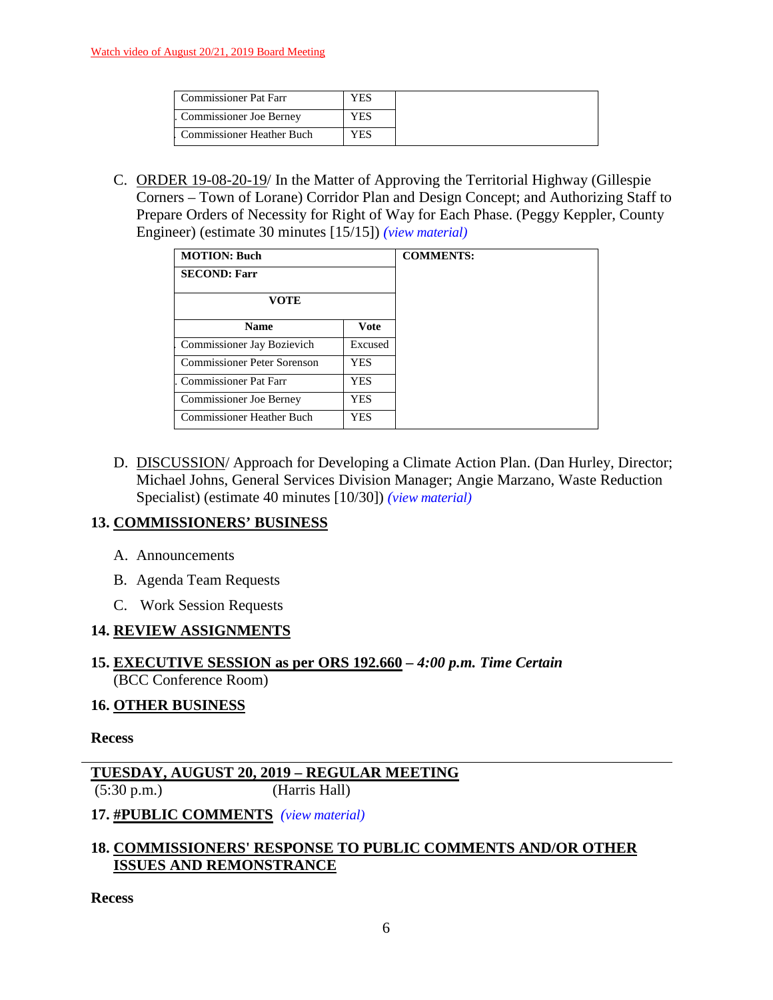| <b>Commissioner Pat Farr</b>     | ⁄ES |
|----------------------------------|-----|
| Commissioner Joe Berney          | ⁄ES |
| <b>Commissioner Heather Buch</b> | ΥES |

C. ORDER 19-08-20-19/ In the Matter of Approving the Territorial Highway (Gillespie Corners – Town of Lorane) Corridor Plan and Design Concept; and Authorizing Staff to Prepare Orders of Necessity for Right of Way for Each Phase. (Peggy Keppler, County Engineer) (estimate 30 minutes [15/15]) *(view [material\)](http://www.lanecounty.org/UserFiles/Servers/Server_3585797/File/Government/BCC/2019/2019_AGENDAS/082019agenda/T.12.C.pdf)*

| <b>MOTION: Buch</b>         |            |
|-----------------------------|------------|
| <b>SECOND: Farr</b>         |            |
| <b>VOTE</b>                 |            |
| <b>Name</b>                 | Vote       |
| Commissioner Jay Bozievich  | Excused    |
| Commissioner Peter Sorenson | YES        |
| Commissioner Pat Farr       | <b>YES</b> |
| Commissioner Joe Berney     | <b>YES</b> |
| Commissioner Heather Buch   | <b>YES</b> |

D. DISCUSSION/Approach for Developing a Climate Action Plan. (Dan Hurley, Director; Michael Johns, General Services Division Manager; Angie Marzano, Waste Reduction Specialist) (estimate 40 minutes [10/30]) *(view [material\)](http://www.lanecounty.org/UserFiles/Servers/Server_3585797/File/Government/BCC/2019/2019_AGENDAS/082019agenda/T.12.D.pdf)*

### **13. COMMISSIONERS' BUSINESS**

- A. Announcements
- B. Agenda Team Requests
- C. Work Session Requests

### **14. REVIEW ASSIGNMENTS**

### **15. EXECUTIVE SESSION as per ORS 192.660** *– 4:00 p.m. Time Certain* (BCC Conference Room)

### **16. OTHER BUSINESS**

#### **Recess**

### **TUESDAY, AUGUST 20, 2019 – REGULAR MEETING** (5:30 p.m.) (Harris Hall)

### **17. #PUBLIC COMMENTS** *(view [material\)](http://www.lanecounty.org/UserFiles/Servers/Server_3585797/File/Government/BCC/2019/2019_AGENDAS/082019agenda/T.17.A.pdf)*

### **18. COMMISSIONERS' RESPONSE TO PUBLIC COMMENTS AND/OR OTHER ISSUES AND REMONSTRANCE**

**Recess**